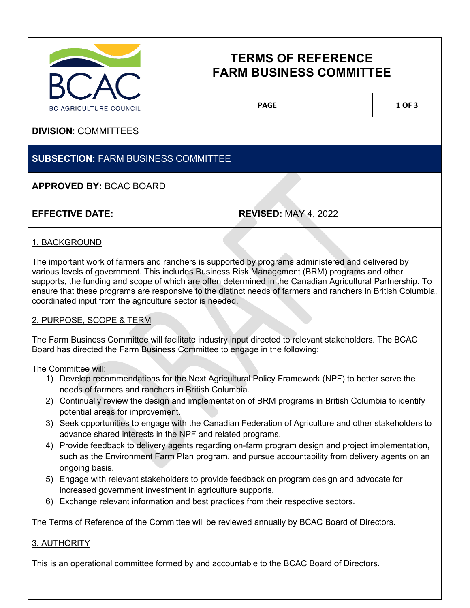

# **TERMS OF REFERENCE FARM BUSINESS COMMITTEE**

PAGE 1 OF 3

# **DIVISION**: COMMITTEES

# **SUBSECTION:** FARM BUSINESS COMMITTEE

# **APPROVED BY:** BCAC BOARD

**EFFECTIVE DATE: REVISED:** MAY 4, 2022

### 1. BACKGROUND

The important work of farmers and ranchers is supported by programs administered and delivered by various levels of government. This includes Business Risk Management (BRM) programs and other supports, the funding and scope of which are often determined in the Canadian Agricultural Partnership. To ensure that these programs are responsive to the distinct needs of farmers and ranchers in British Columbia, coordinated input from the agriculture sector is needed.

#### 2. PURPOSE, SCOPE & TERM

The Farm Business Committee will facilitate industry input directed to relevant stakeholders. The BCAC Board has directed the Farm Business Committee to engage in the following:

The Committee will:

- 1) Develop recommendations for the Next Agricultural Policy Framework (NPF) to better serve the needs of farmers and ranchers in British Columbia.
- 2) Continually review the design and implementation of BRM programs in British Columbia to identify potential areas for improvement.
- 3) Seek opportunities to engage with the Canadian Federation of Agriculture and other stakeholders to advance shared interests in the NPF and related programs.
- 4) Provide feedback to delivery agents regarding on-farm program design and project implementation, such as the Environment Farm Plan program, and pursue accountability from delivery agents on an ongoing basis.
- 5) Engage with relevant stakeholders to provide feedback on program design and advocate for increased government investment in agriculture supports.
- 6) Exchange relevant information and best practices from their respective sectors.

The Terms of Reference of the Committee will be reviewed annually by BCAC Board of Directors.

#### 3. AUTHORITY

This is an operational committee formed by and accountable to the BCAC Board of Directors.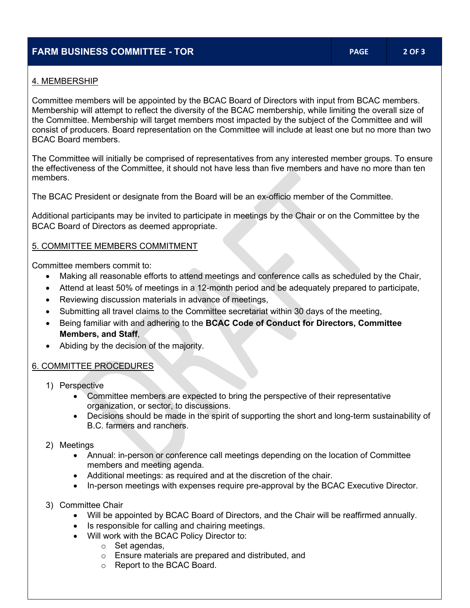# **FARM BUSINESS COMMITTEE - TOR PAGE 2 OF 3**

#### 4. MEMBERSHIP

Committee members will be appointed by the BCAC Board of Directors with input from BCAC members. Membership will attempt to reflect the diversity of the BCAC membership, while limiting the overall size of the Committee. Membership will target members most impacted by the subject of the Committee and will consist of producers. Board representation on the Committee will include at least one but no more than two BCAC Board members.

The Committee will initially be comprised of representatives from any interested member groups. To ensure the effectiveness of the Committee, it should not have less than five members and have no more than ten members.

The BCAC President or designate from the Board will be an ex-officio member of the Committee.

Additional participants may be invited to participate in meetings by the Chair or on the Committee by the BCAC Board of Directors as deemed appropriate.

#### 5. COMMITTEE MEMBERS COMMITMENT

Committee members commit to:

- Making all reasonable efforts to attend meetings and conference calls as scheduled by the Chair,
- Attend at least 50% of meetings in a 12-month period and be adequately prepared to participate,
- Reviewing discussion materials in advance of meetings,
- Submitting all travel claims to the Committee secretariat within 30 days of the meeting,
- Being familiar with and adhering to the **BCAC Code of Conduct for Directors, Committee Members, and Staff**,
- Abiding by the decision of the majority.

#### 6. COMMITTEE PROCEDURES

- 1) Perspective
	- Committee members are expected to bring the perspective of their representative organization, or sector, to discussions.
	- Decisions should be made in the spirit of supporting the short and long-term sustainability of B.C. farmers and ranchers.
- 2) Meetings
	- Annual: in-person or conference call meetings depending on the location of Committee members and meeting agenda.
	- Additional meetings: as required and at the discretion of the chair.
	- In-person meetings with expenses require pre-approval by the BCAC Executive Director.
- 3) Committee Chair
	- Will be appointed by BCAC Board of Directors, and the Chair will be reaffirmed annually.
	- Is responsible for calling and chairing meetings.
	- Will work with the BCAC Policy Director to:
		- o Set agendas,
		- o Ensure materials are prepared and distributed, and
		- o Report to the BCAC Board.